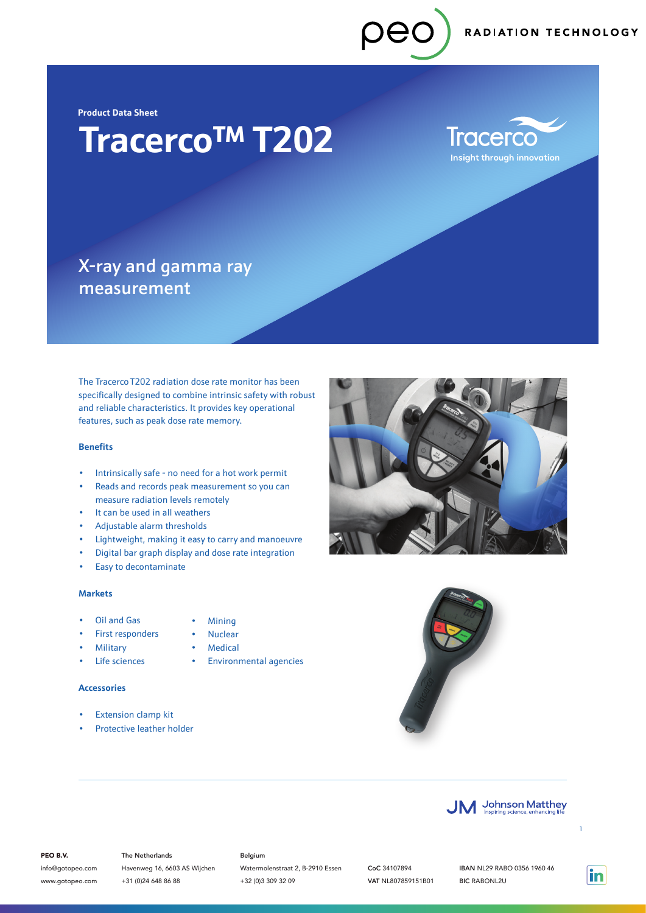RADIATION TECHNOLOGY

**Product Data Sheet**

# **Tracerco**TM **T202**

*<u>Iracerco</u>* **Insight through innovation** 

### X-ray and gamma ray measurement

The Tracerco T202 radiation dose rate monitor has been specifically designed to combine intrinsic safety with robust and reliable characteristics. It provides key operational features, such as peak dose rate memory.

#### **Benefits**

- Intrinsically safe no need for a hot work permit
- Reads and records peak measurement so you can measure radiation levels remotely
- It can be used in all weathers
- Adjustable alarm thresholds
- Lightweight, making it easy to carry and manoeuvre
- Digital bar graph display and dose rate integration
- Easy to decontaminate

#### **Markets**

- Oil and Gas
- First responders
- **Military**
- Life sciences
- **Nuclear Medical**

• Mining

• Environmental agencies

#### **Accessories**

- Extension clamp kit
- Protective leather holder







#### PEO B.V.

info@gotopeo.com www.gotopeo.com The Netherlands Havenweg 16, 6603 AS Wijchen +31 (0)24 648 86 88

#### Belgium

Watermolenstraat 2, B-2910 Essen +32 (0)3 309 32 09

CoC 34107894 VAT NL807859151B01

IBAN NL29 RABO 0356 1960 46 BIC RABONL2U

in

1